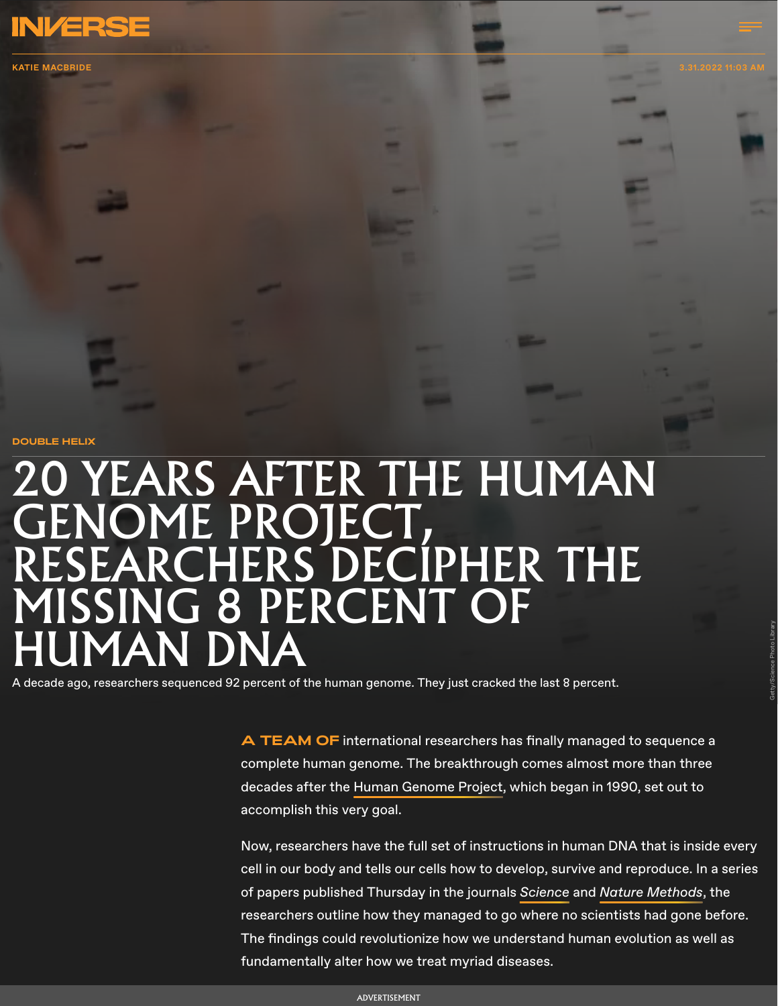

KATIE [MACBRIDE](https://www.inverse.com/profile/katie-macbride-65101010) 3.31.2022 11:03 AM

**DOUBLE HELIX**

## **O YEARS AFTER THE HUMAN** GENOME PROJECT,<br>RESEARCHERS DECIPHER THE MISSING 8 PERCENT OF JMAN DNA

A decade ago, researchers sequenced 92 percent of the human genome. They just cracked the last 8 percent.

**A TEAM OF** international researchers has finally managed to sequence a complete human genome. The breakthrough comes almost more than three decades after the [Human Genome Project,](https://www.inverse.com/article/51084-reference-genome-human-genetics-testing) which began in 1990, set out to accomplish this very goal.

Now, researchers have the full set of instructions in human DNA that is inside every cell in our body and tells our cells how to develop, survive and reproduce. In a series of papers published Thursday in the journals [Science](https://dx.doi.org/10.1126/science.abj6987) and Nature [Methods](https://dx.doi.org/10.1126/science.abl4178), the researchers outline how they managed to go where no scientists had gone before. The findings could revolutionize how we understand human evolution as well as fundamentally alter how we treat myriad diseases.

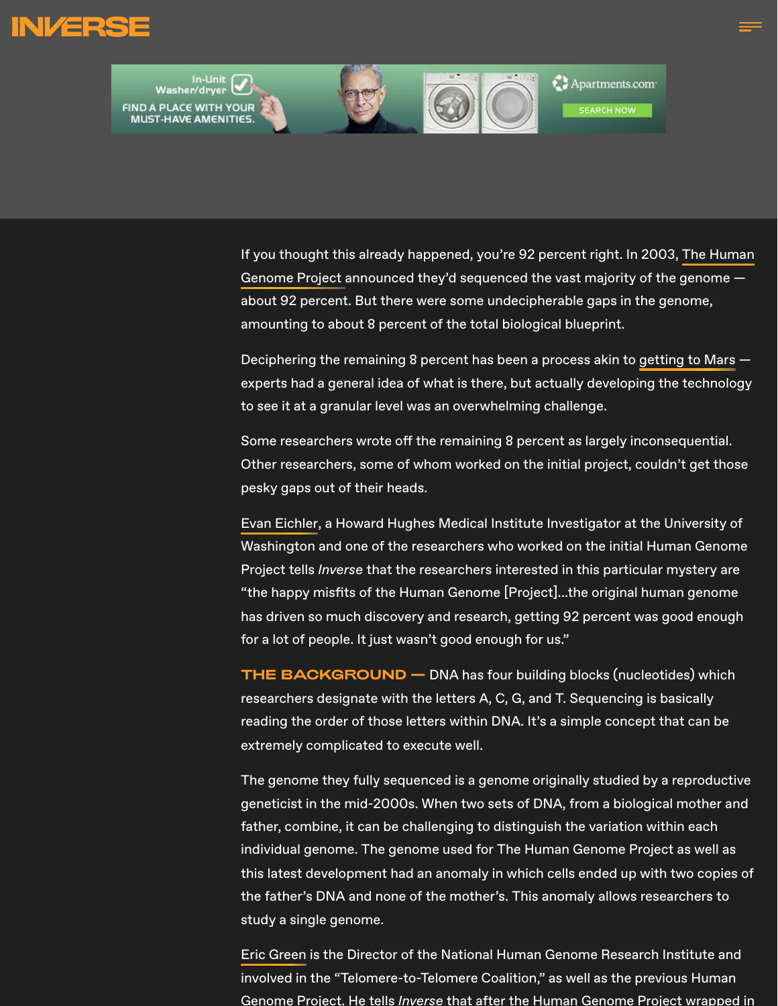



[If you thought this already happened, you're 92 percent right. In 2003,](https://www.inverse.com/article/51084-reference-genome-human-genetics-testing) The Human Genome Project announced they'd sequenced the vast majority of the genome about 92 percent. But there were some undecipherable gaps in the genome, amounting to about 8 percent of the total biological blueprint.

Deciphering the remaining 8 percent has been a process akin to [getting to Mars](https://www.inverse.com/science/mars-mission-5-things-before-the-trip) experts had a general idea of what is there, but actually developing the technology to see it at a granular level was an overwhelming challenge.

Some researchers wrote off the remaining 8 percent as largely inconsequential. Other researchers, some of whom worked on the initial project, couldn't get those pesky gaps out of their heads.

[Evan Eichler](https://eichlerlab.gs.washington.edu/evan.html), a Howard Hughes Medical Institute Investigator at the University of Washington and one of the researchers who worked on the initial Human Genome Project tells *Inverse* that the researchers interested in this particular mystery are "the happy misfits of the Human Genome [Project]...the original human genome has driven so much discovery and research, getting 92 percent was good enough for a lot of people. It just wasn't good enough for us."

**THE BACKGROUND —** DNA has four building blocks (nucleotides) which researchers designate with the letters A, C, G, and T. Sequencing is basically reading the order of those letters within DNA. It's a simple concept that can be extremely complicated to execute well.

The genome they fully sequenced is a genome originally studied by a reproductive geneticist in the mid-2000s. When two sets of DNA, from a biological mother and father, combine, it can be challenging to distinguish the variation within each individual genome. The genome used for The Human Genome Project as well as this latest development had an anomaly in which cells ended up with two copies of the father's DNA and none of the mother's. This anomaly allows researchers to study a single genome.

[Eric Green](https://www.genome.gov/About-NHGRI/Director) is the Director of the National Human Genome Research Institute and involved in the "Telomere-to-Telomere Coalition," as well as the previous Human Genome Project. He tells Inverse that after the Human Genome Project wrapped in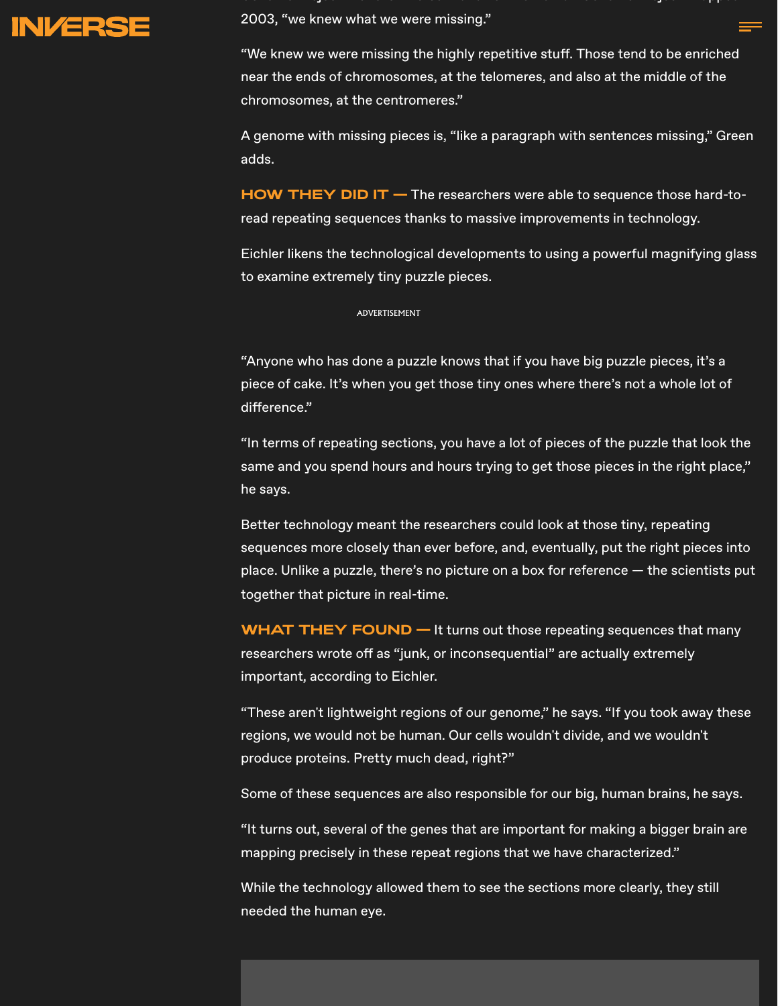

Ge o e ojec e e s e se a a e e u a Ge o e ojec apped 2003, "we knew what we were missing."

"We knew we were missing the highly repetitive stuff. Those tend to be enriched near the ends of chromosomes, at the telomeres, and also at the middle of the chromosomes, at the centromeres."

A genome with missing pieces is, "like a paragraph with sentences missing," Green adds.

**HOW THEY DID IT —** The researchers were able to sequence those hard-toread repeating sequences thanks to massive improvements in technology.

Eichler likens the technological developments to using a powerful magnifying glass to examine extremely tiny puzzle pieces.

## ADVERTISEMENT

"Anyone who has done a puzzle knows that if you have big puzzle pieces, it's a piece of cake. It's when you get those tiny ones where there's not a whole lot of difference."

"In terms of repeating sections, you have a lot of pieces of the puzzle that look the same and you spend hours and hours trying to get those pieces in the right place," he says.

Better technology meant the researchers could look at those tiny, repeating sequences more closely than ever before, and, eventually, put the right pieces into place. Unlike a puzzle, there's no picture on a box for reference — the scientists put together that picture in real-time.

**WHAT THEY FOUND —** It turns out those repeating sequences that many researchers wrote off as "junk, or inconsequential" are actually extremely important, according to Eichler.

"These aren't lightweight regions of our genome," he says. "If you took away these regions, we would not be human. Our cells wouldn't divide, and we wouldn't produce proteins. Pretty much dead, right?"

Some of these sequences are also responsible for our big, human brains, he says.

"It turns out, several of the genes that are important for making a bigger brain are mapping precisely in these repeat regions that we have characterized."

While the technology allowed them to see the sections more clearly, they still needed the human eye.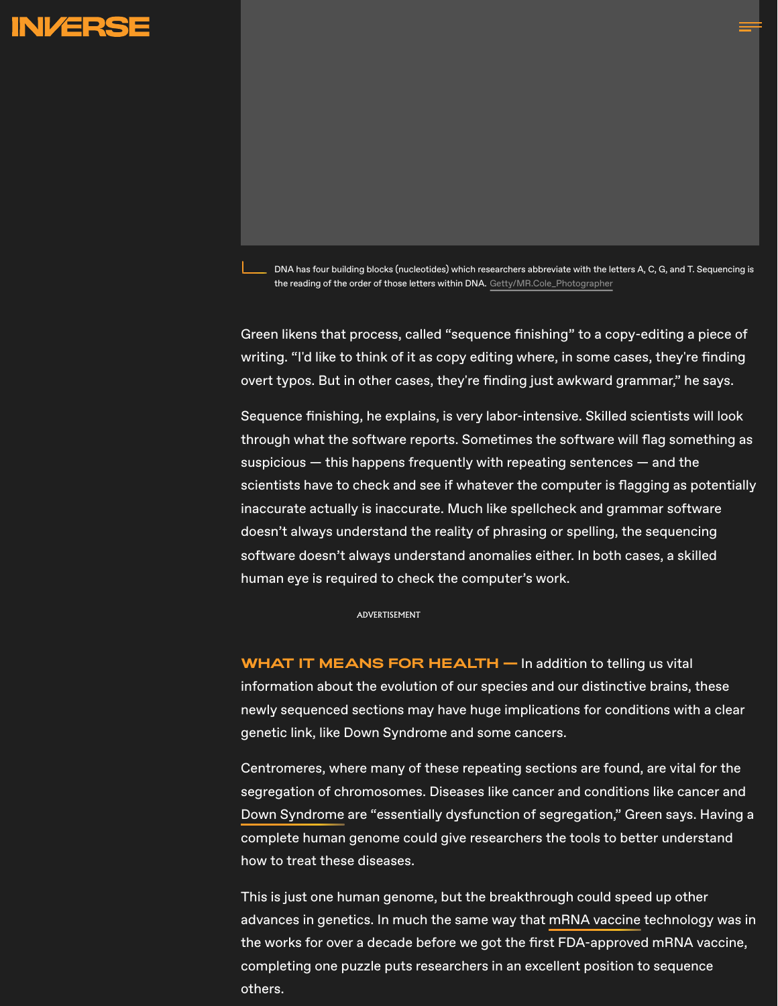

DNA has four building blocks (nucleotides) which researchers abbreviate with the letters A, C, G, and T. Sequencing is the reading of the order of those letters within DNA. [Getty/MR.Cole\\_Photographer](https://www.gettyimages.com/detail/photo/illustration-dna-spin-futuristic-digital-background-royalty-free-image/1135140155?adppopup=true)

Green likens that process, called "sequence finishing" to a copy-editing a piece of writing. "I'd like to think of it as copy editing where, in some cases, they're finding overt typos. But in other cases, they're finding just awkward grammar," he says.

Sequence finishing, he explains, is very labor-intensive. Skilled scientists will look through what the software reports. Sometimes the software will flag something as suspicious  $-$  this happens frequently with repeating sentences  $-$  and the scientists have to check and see if whatever the computer is flagging as potentially inaccurate actually is inaccurate. Much like spellcheck and grammar software doesn't always understand the reality of phrasing or spelling, the sequencing software doesn't always understand anomalies either. In both cases, a skilled human eye is required to check the computer's work.

ADVERTISEMENT

**WHAT IT MEANS FOR HEALTH —** In addition to telling us vital information about the evolution of our species and our distinctive brains, these newly sequenced sections may have huge implications for conditions with a clear genetic link, like Down Syndrome and some cancers.

Centromeres, where many of these repeating sections are found, are vital for the segregation of chromosomes. Diseases like cancer and conditions like cancer and [Down Syndrome](https://www.sciencedaily.com/releases/2017/11/171120104816.htm) are "essentially dysfunction of segregation," Green says. Having a complete human genome could give researchers the tools to better understand how to treat these diseases.

This is just one human genome, but the breakthrough could speed up other advances in genetics. In much the same way that [mRNA vaccine](https://www.inverse.com/mind-body/scientific-truths-about-the-covid-19-vaccine) technology was in the works for over a decade before we got the first FDA-approved mRNA vaccine, completing one puzzle puts researchers in an excellent position to sequence others.